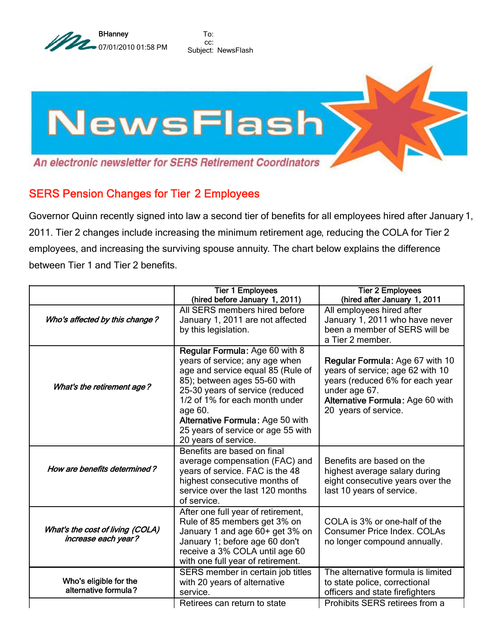

To: cc: Subject: NewsFlash



## SERS Pension Changes for Tier 2 Employees

Governor Quinn recently signed into law a second tier of benefits for all employees hired after January 1, 2011. Tier 2 changes include increasing the minimum retirement age, reducing the COLA for Tier 2 employees, and increasing the surviving spouse annuity. The chart below explains the difference between Tier 1 and Tier 2 benefits.

|                                                         | <b>Tier 1 Employees</b><br>(hired before January 1, 2011)                                                                                                                                                                                                                                                               | <b>Tier 2 Employees</b><br>(hired after January 1, 2011                                                                                                                             |
|---------------------------------------------------------|-------------------------------------------------------------------------------------------------------------------------------------------------------------------------------------------------------------------------------------------------------------------------------------------------------------------------|-------------------------------------------------------------------------------------------------------------------------------------------------------------------------------------|
| Who's affected by this change?                          | All SERS members hired before<br>January 1, 2011 are not affected<br>by this legislation.                                                                                                                                                                                                                               | All employees hired after<br>January 1, 2011 who have never<br>been a member of SERS will be<br>a Tier 2 member.                                                                    |
| What's the retirement age?                              | Regular Formula: Age 60 with 8<br>years of service; any age when<br>age and service equal 85 (Rule of<br>85); between ages 55-60 with<br>25-30 years of service (reduced<br>1/2 of 1% for each month under<br>age 60.<br>Alternative Formula: Age 50 with<br>25 years of service or age 55 with<br>20 years of service. | Regular Formula: Age 67 with 10<br>years of service; age 62 with 10<br>years (reduced 6% for each year<br>under age 67.<br>Alternative Formula: Age 60 with<br>20 years of service. |
| How are benefits determined?                            | Benefits are based on final<br>average compensation (FAC) and<br>years of service. FAC is the 48<br>highest consecutive months of<br>service over the last 120 months<br>of service.                                                                                                                                    | Benefits are based on the<br>highest average salary during<br>eight consecutive years over the<br>last 10 years of service.                                                         |
| What's the cost of living (COLA)<br>increase each year? | After one full year of retirement,<br>Rule of 85 members get 3% on<br>January 1 and age 60+ get 3% on<br>January 1; before age 60 don't<br>receive a 3% COLA until age 60<br>with one full year of retirement.                                                                                                          | COLA is 3% or one-half of the<br><b>Consumer Price Index. COLAs</b><br>no longer compound annually.                                                                                 |
| Who's eligible for the<br>alternative formula?          | SERS member in certain job titles<br>with 20 years of alternative<br>service.                                                                                                                                                                                                                                           | The alternative formula is limited<br>to state police, correctional<br>officers and state firefighters                                                                              |
|                                                         | Retirees can return to state                                                                                                                                                                                                                                                                                            | Prohibits SERS retirees from a                                                                                                                                                      |